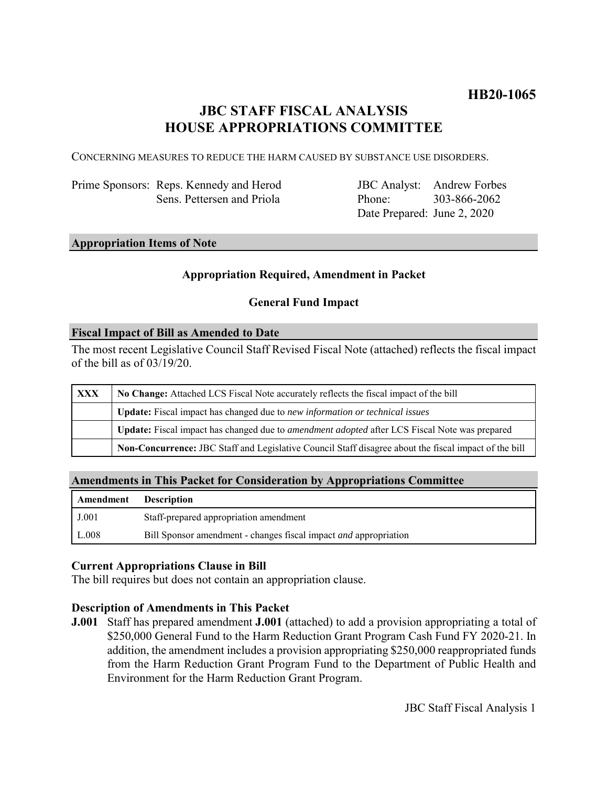# **JBC STAFF FISCAL ANALYSIS HOUSE APPROPRIATIONS COMMITTEE**

CONCERNING MEASURES TO REDUCE THE HARM CAUSED BY SUBSTANCE USE DISORDERS.

Prime Sponsors: Reps. Kennedy and Herod Sens. Pettersen and Priola

JBC Analyst: Andrew Forbes Phone: Date Prepared: June 2, 2020 303-866-2062

# **Appropriation Items of Note**

# **Appropriation Required, Amendment in Packet**

# **General Fund Impact**

#### **Fiscal Impact of Bill as Amended to Date**

The most recent Legislative Council Staff Revised Fiscal Note (attached) reflects the fiscal impact of the bill as of 03/19/20.

| <b>XXX</b> | No Change: Attached LCS Fiscal Note accurately reflects the fiscal impact of the bill                       |
|------------|-------------------------------------------------------------------------------------------------------------|
|            | Update: Fiscal impact has changed due to new information or technical issues                                |
|            | <b>Update:</b> Fiscal impact has changed due to <i>amendment adopted</i> after LCS Fiscal Note was prepared |
|            | Non-Concurrence: JBC Staff and Legislative Council Staff disagree about the fiscal impact of the bill       |

### **Amendments in This Packet for Consideration by Appropriations Committee**

| Amendment | <b>Description</b>                                                      |
|-----------|-------------------------------------------------------------------------|
| J.001     | Staff-prepared appropriation amendment                                  |
| L.008     | Bill Sponsor amendment - changes fiscal impact <i>and</i> appropriation |

### **Current Appropriations Clause in Bill**

The bill requires but does not contain an appropriation clause.

### **Description of Amendments in This Packet**

**J.001** Staff has prepared amendment **J.001** (attached) to add a provision appropriating a total of \$250,000 General Fund to the Harm Reduction Grant Program Cash Fund FY 2020-21. In addition, the amendment includes a provision appropriating \$250,000 reappropriated funds from the Harm Reduction Grant Program Fund to the Department of Public Health and Environment for the Harm Reduction Grant Program.